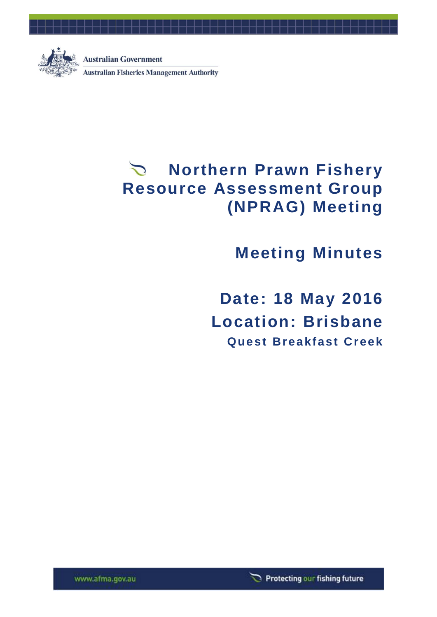

# **Northern Prawn Fishery Resource Assessment Group (NPRAG) Meeting**

**Meeting Minutes**

**Date: 18 May 2016 Location: Brisbane Quest Breakfast Creek**

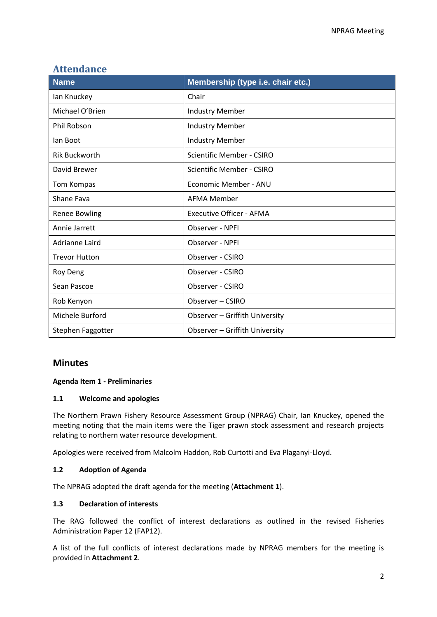| <b>Name</b>          | Membership (type i.e. chair etc.) |  |
|----------------------|-----------------------------------|--|
| lan Knuckey          | Chair                             |  |
| Michael O'Brien      | <b>Industry Member</b>            |  |
| <b>Phil Robson</b>   | <b>Industry Member</b>            |  |
| lan Boot             | <b>Industry Member</b>            |  |
| <b>Rik Buckworth</b> | <b>Scientific Member - CSIRO</b>  |  |
| David Brewer         | Scientific Member - CSIRO         |  |
| Tom Kompas           | Economic Member - ANU             |  |
| Shane Fava           | AFMA Member                       |  |
| <b>Renee Bowling</b> | <b>Executive Officer - AFMA</b>   |  |
| Annie Jarrett        | Observer - NPFI                   |  |
| Adrianne Laird       | Observer - NPFI                   |  |
| <b>Trevor Hutton</b> | Observer - CSIRO                  |  |
| Roy Deng             | Observer - CSIRO                  |  |
| Sean Pascoe          | Observer - CSIRO                  |  |
| Rob Kenyon           | Observer - CSIRO                  |  |
| Michele Burford      | Observer - Griffith University    |  |
| Stephen Faggotter    | Observer - Griffith University    |  |

# **Attendance**

# **Minutes**

# **Agenda Item 1 - Preliminaries**

# **1.1 Welcome and apologies**

The Northern Prawn Fishery Resource Assessment Group (NPRAG) Chair, Ian Knuckey, opened the meeting noting that the main items were the Tiger prawn stock assessment and research projects relating to northern water resource development.

Apologies were received from Malcolm Haddon, Rob Curtotti and Eva Plaganyi-Lloyd.

# **1.2 Adoption of Agenda**

The NPRAG adopted the draft agenda for the meeting (**Attachment 1**).

# **1.3 Declaration of interests**

The RAG followed the conflict of interest declarations as outlined in the revised Fisheries Administration Paper 12 (FAP12).

A list of the full conflicts of interest declarations made by NPRAG members for the meeting is provided in **Attachment 2**.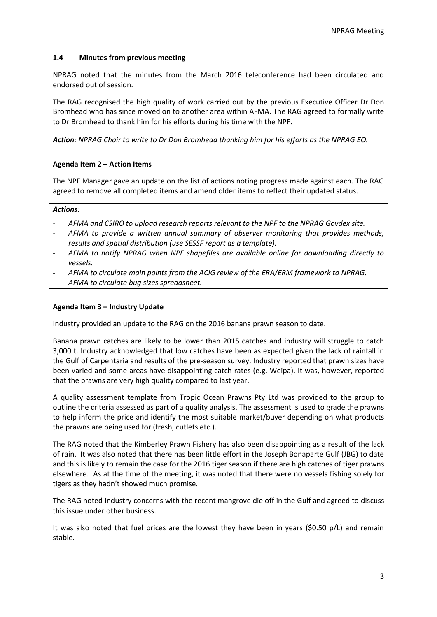## **1.4 Minutes from previous meeting**

NPRAG noted that the minutes from the March 2016 teleconference had been circulated and endorsed out of session.

The RAG recognised the high quality of work carried out by the previous Executive Officer Dr Don Bromhead who has since moved on to another area within AFMA. The RAG agreed to formally write to Dr Bromhead to thank him for his efforts during his time with the NPF.

*Action: NPRAG Chair to write to Dr Don Bromhead thanking him for his efforts as the NPRAG EO.*

### **Agenda Item 2 – Action Items**

The NPF Manager gave an update on the list of actions noting progress made against each. The RAG agreed to remove all completed items and amend older items to reflect their updated status.

#### *Actions:*

- *- AFMA and CSIRO to upload research reports relevant to the NPF to the NPRAG Govdex site.*
- *- AFMA to provide a written annual summary of observer monitoring that provides methods, results and spatial distribution (use SESSF report as a template).*
- *- AFMA to notify NPRAG when NPF shapefiles are available online for downloading directly to vessels.*
- *- AFMA to circulate main points from the ACIG review of the ERA/ERM framework to NPRAG.*
- *- AFMA to circulate bug sizes spreadsheet.*

#### **Agenda Item 3 – Industry Update**

Industry provided an update to the RAG on the 2016 banana prawn season to date.

Banana prawn catches are likely to be lower than 2015 catches and industry will struggle to catch 3,000 t. Industry acknowledged that low catches have been as expected given the lack of rainfall in the Gulf of Carpentaria and results of the pre-season survey. Industry reported that prawn sizes have been varied and some areas have disappointing catch rates (e.g. Weipa). It was, however, reported that the prawns are very high quality compared to last year.

A quality assessment template from Tropic Ocean Prawns Pty Ltd was provided to the group to outline the criteria assessed as part of a quality analysis. The assessment is used to grade the prawns to help inform the price and identify the most suitable market/buyer depending on what products the prawns are being used for (fresh, cutlets etc.).

The RAG noted that the Kimberley Prawn Fishery has also been disappointing as a result of the lack of rain. It was also noted that there has been little effort in the Joseph Bonaparte Gulf (JBG) to date and this is likely to remain the case for the 2016 tiger season if there are high catches of tiger prawns elsewhere. As at the time of the meeting, it was noted that there were no vessels fishing solely for tigers as they hadn't showed much promise.

The RAG noted industry concerns with the recent mangrove die off in the Gulf and agreed to discuss this issue under other business.

It was also noted that fuel prices are the lowest they have been in years (\$0.50 p/L) and remain stable.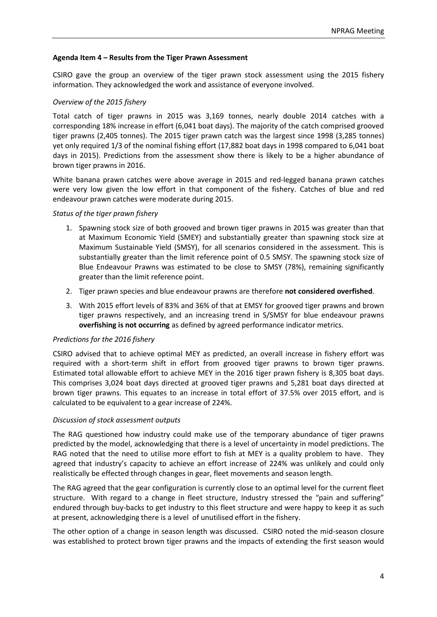### **Agenda Item 4 – Results from the Tiger Prawn Assessment**

CSIRO gave the group an overview of the tiger prawn stock assessment using the 2015 fishery information. They acknowledged the work and assistance of everyone involved.

### *Overview of the 2015 fishery*

Total catch of tiger prawns in 2015 was 3,169 tonnes, nearly double 2014 catches with a corresponding 18% increase in effort (6,041 boat days). The majority of the catch comprised grooved tiger prawns (2,405 tonnes). The 2015 tiger prawn catch was the largest since 1998 (3,285 tonnes) yet only required 1/3 of the nominal fishing effort (17,882 boat days in 1998 compared to 6,041 boat days in 2015). Predictions from the assessment show there is likely to be a higher abundance of brown tiger prawns in 2016.

White banana prawn catches were above average in 2015 and red-legged banana prawn catches were very low given the low effort in that component of the fishery. Catches of blue and red endeavour prawn catches were moderate during 2015.

### *Status of the tiger prawn fishery*

- 1. Spawning stock size of both grooved and brown tiger prawns in 2015 was greater than that at Maximum Economic Yield (SMEY) and substantially greater than spawning stock size at Maximum Sustainable Yield (SMSY), for all scenarios considered in the assessment. This is substantially greater than the limit reference point of 0.5 SMSY. The spawning stock size of Blue Endeavour Prawns was estimated to be close to SMSY (78%), remaining significantly greater than the limit reference point.
- 2. Tiger prawn species and blue endeavour prawns are therefore **not considered overfished**.
- 3. With 2015 effort levels of 83% and 36% of that at EMSY for grooved tiger prawns and brown tiger prawns respectively, and an increasing trend in S/SMSY for blue endeavour prawns **overfishing is not occurring** as defined by agreed performance indicator metrics.

#### *Predictions for the 2016 fishery*

CSIRO advised that to achieve optimal MEY as predicted, an overall increase in fishery effort was required with a short-term shift in effort from grooved tiger prawns to brown tiger prawns. Estimated total allowable effort to achieve MEY in the 2016 tiger prawn fishery is 8,305 boat days. This comprises 3,024 boat days directed at grooved tiger prawns and 5,281 boat days directed at brown tiger prawns. This equates to an increase in total effort of 37.5% over 2015 effort, and is calculated to be equivalent to a gear increase of 224%.

# *Discussion of stock assessment outputs*

The RAG questioned how industry could make use of the temporary abundance of tiger prawns predicted by the model, acknowledging that there is a level of uncertainty in model predictions. The RAG noted that the need to utilise more effort to fish at MEY is a quality problem to have. They agreed that industry's capacity to achieve an effort increase of 224% was unlikely and could only realistically be effected through changes in gear, fleet movements and season length.

The RAG agreed that the gear configuration is currently close to an optimal level for the current fleet structure. With regard to a change in fleet structure, Industry stressed the "pain and suffering" endured through buy-backs to get industry to this fleet structure and were happy to keep it as such at present, acknowledging there is a level of unutilised effort in the fishery.

The other option of a change in season length was discussed. CSIRO noted the mid-season closure was established to protect brown tiger prawns and the impacts of extending the first season would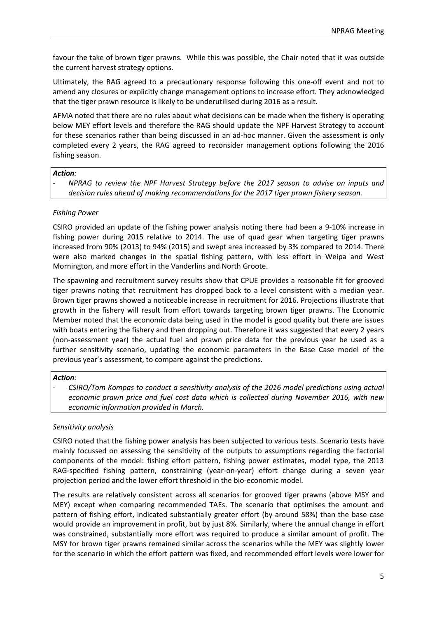favour the take of brown tiger prawns. While this was possible, the Chair noted that it was outside the current harvest strategy options.

Ultimately, the RAG agreed to a precautionary response following this one-off event and not to amend any closures or explicitly change management options to increase effort. They acknowledged that the tiger prawn resource is likely to be underutilised during 2016 as a result.

AFMA noted that there are no rules about what decisions can be made when the fishery is operating below MEY effort levels and therefore the RAG should update the NPF Harvest Strategy to account for these scenarios rather than being discussed in an ad-hoc manner. Given the assessment is only completed every 2 years, the RAG agreed to reconsider management options following the 2016 fishing season.

### *Action:*

*- NPRAG to review the NPF Harvest Strategy before the 2017 season to advise on inputs and decision rules ahead of making recommendations for the 2017 tiger prawn fishery season.*

# *Fishing Power*

CSIRO provided an update of the fishing power analysis noting there had been a 9-10% increase in fishing power during 2015 relative to 2014. The use of quad gear when targeting tiger prawns increased from 90% (2013) to 94% (2015) and swept area increased by 3% compared to 2014. There were also marked changes in the spatial fishing pattern, with less effort in Weipa and West Mornington, and more effort in the Vanderlins and North Groote.

The spawning and recruitment survey results show that CPUE provides a reasonable fit for grooved tiger prawns noting that recruitment has dropped back to a level consistent with a median year. Brown tiger prawns showed a noticeable increase in recruitment for 2016. Projections illustrate that growth in the fishery will result from effort towards targeting brown tiger prawns. The Economic Member noted that the economic data being used in the model is good quality but there are issues with boats entering the fishery and then dropping out. Therefore it was suggested that every 2 years (non-assessment year) the actual fuel and prawn price data for the previous year be used as a further sensitivity scenario, updating the economic parameters in the Base Case model of the previous year's assessment, to compare against the predictions.

#### *Action:*

*- CSIRO/Tom Kompas to conduct a sensitivity analysis of the 2016 model predictions using actual economic prawn price and fuel cost data which is collected during November 2016, with new economic information provided in March.*

# *Sensitivity analysis*

CSIRO noted that the fishing power analysis has been subjected to various tests. Scenario tests have mainly focussed on assessing the sensitivity of the outputs to assumptions regarding the factorial components of the model: fishing effort pattern, fishing power estimates, model type, the 2013 RAG-specified fishing pattern, constraining (year-on-year) effort change during a seven year projection period and the lower effort threshold in the bio-economic model.

The results are relatively consistent across all scenarios for grooved tiger prawns (above MSY and MEY) except when comparing recommended TAEs. The scenario that optimises the amount and pattern of fishing effort, indicated substantially greater effort (by around 58%) than the base case would provide an improvement in profit, but by just 8%. Similarly, where the annual change in effort was constrained, substantially more effort was required to produce a similar amount of profit. The MSY for brown tiger prawns remained similar across the scenarios while the MEY was slightly lower for the scenario in which the effort pattern was fixed, and recommended effort levels were lower for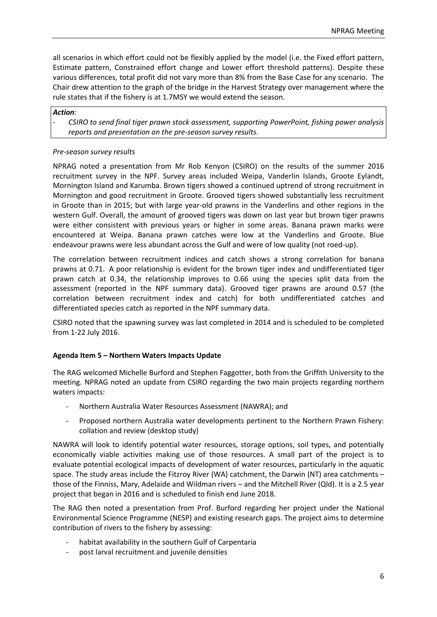all scenarios in which effort could not be flexibly applied by the model (i.e. the Fixed effort pattern, Estimate pattern, Constrained effort change and Lower effort threshold patterns). Despite these various differences, total profit did not vary more than 8% from the Base Case for any scenario. The Chair drew attention to the graph of the bridge in the Harvest Strategy over management where the rule states that if the fishery is at 1.7MSY we would extend the season.

#### *Action:*

*- CSIRO to send final tiger prawn stock assessment, supporting PowerPoint, fishing power analysis reports and presentation on the pre-season survey results.*

### *Pre-season survey results*

NPRAG noted a presentation from Mr Rob Kenyon (CSIRO) on the results of the summer 2016 recruitment survey in the NPF. Survey areas included Weipa, Vanderlin Islands, Groote Eylandt, Mornington Island and Karumba. Brown tigers showed a continued uptrend of strong recruitment in Mornington and good recruitment in Groote. Grooved tigers showed substantially less recruitment in Groote than in 2015; but with large year-old prawns in the Vanderlins and other regions in the western Gulf. Overall, the amount of grooved tigers was down on last year but brown tiger prawns were either consistent with previous years or higher in some areas. Banana prawn marks were encountered at Weipa. Banana prawn catches were low at the Vanderlins and Groote. Blue endeavour prawns were less abundant across the Gulf and were of low quality (not roed-up).

The correlation between recruitment indices and catch shows a strong correlation for banana prawns at 0.71. A poor relationship is evident for the brown tiger index and undifferentiated tiger prawn catch at 0.34, the relationship improves to 0.66 using the species split data from the assessment (reported in the NPF summary data). Grooved tiger prawns are around 0.57 (the correlation between recruitment index and catch) for both undifferentiated catches and differentiated species catch as reported in the NPF summary data.

CSIRO noted that the spawning survey was last completed in 2014 and is scheduled to be completed from 1-22 July 2016.

# **Agenda Item 5 – Northern Waters Impacts Update**

The RAG welcomed Michelle Burford and Stephen Faggotter, both from the Griffith University to the meeting. NPRAG noted an update from CSIRO regarding the two main projects regarding northern waters impacts:

- Northern Australia Water Resources Assessment (NAWRA); and
- Proposed northern Australia water developments pertinent to the Northern Prawn Fishery: collation and review (desktop study)

NAWRA will look to identify potential water resources, storage options, soil types, and potentially economically viable activities making use of those resources. A small part of the project is to evaluate potential ecological impacts of development of water resources, particularly in the aquatic space. The study areas include the Fitzroy River (WA) catchment, the Darwin (NT) area catchments – those of the Finniss, Mary, Adelaide and Wildman rivers – and the Mitchell River (Qld). It is a 2.5 year project that began in 2016 and is scheduled to finish end June 2018.

The RAG then noted a presentation from Prof. Burford regarding her project under the National Environmental Science Programme (NESP) and existing research gaps. The project aims to determine contribution of rivers to the fishery by assessing:

- habitat availability in the southern Gulf of Carpentaria
- post larval recruitment and juvenile densities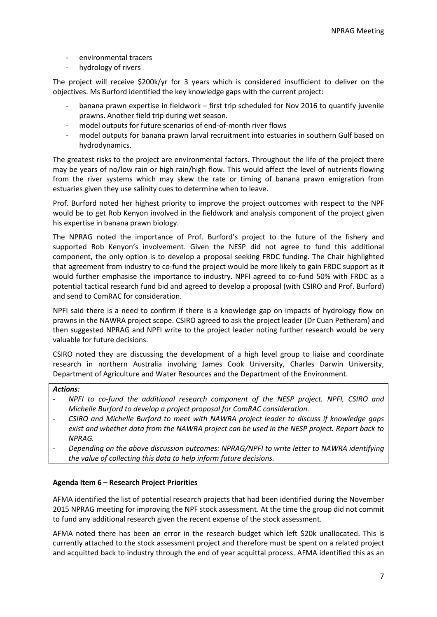- environmental tracers
- hydrology of rivers

The project will receive \$200k/yr for 3 years which is considered insufficient to deliver on the objectives. Ms Burford identified the key knowledge gaps with the current project:

- banana prawn expertise in fieldwork first trip scheduled for Nov 2016 to quantify juvenile prawns. Another field trip during wet season.
- model outputs for future scenarios of end-of-month river flows
- model outputs for banana prawn larval recruitment into estuaries in southern Gulf based on hydrodynamics.

The greatest risks to the project are environmental factors. Throughout the life of the project there may be years of no/low rain or high rain/high flow. This would affect the level of nutrients flowing from the river systems which may skew the rate or timing of banana prawn emigration from estuaries given they use salinity cues to determine when to leave.

Prof. Burford noted her highest priority to improve the project outcomes with respect to the NPF would be to get Rob Kenyon involved in the fieldwork and analysis component of the project given his expertise in banana prawn biology.

The NPRAG noted the importance of Prof. Burford's project to the future of the fishery and supported Rob Kenyon's involvement. Given the NESP did not agree to fund this additional component, the only option is to develop a proposal seeking FRDC funding. The Chair highlighted that agreement from industry to co-fund the project would be more likely to gain FRDC support as it would further emphasise the importance to industry. NPFI agreed to co-fund 50% with FRDC as a potential tactical research fund bid and agreed to develop a proposal (with CSIRO and Prof. Burford) and send to ComRAC for consideration.

NPFI said there is a need to confirm if there is a knowledge gap on impacts of hydrology flow on prawns in the NAWRA project scope. CSIRO agreed to ask the project leader (Dr Cuan Petheram) and then suggested NPRAG and NPFI write to the project leader noting further research would be very valuable for future decisions.

CSIRO noted they are discussing the development of a high level group to liaise and coordinate research in northern Australia involving James Cook University, Charles Darwin University, Department of Agriculture and Water Resources and the Department of the Environment.

#### *Actions:*

- *- NPFI to co-fund the additional research component of the NESP project. NPFI, CSIRO and Michelle Burford to develop a project proposal for ComRAC consideration.*
- *- CSIRO and Michelle Burford to meet with NAWRA project leader to discuss if knowledge gaps exist and whether data from the NAWRA project can be used in the NESP project. Report back to NPRAG.*
- *- Depending on the above discussion outcomes: NPRAG/NPFI to write letter to NAWRA identifying the value of collecting this data to help inform future decisions.*

#### **Agenda Item 6 – Research Project Priorities**

AFMA identified the list of potential research projects that had been identified during the November 2015 NPRAG meeting for improving the NPF stock assessment. At the time the group did not commit to fund any additional research given the recent expense of the stock assessment.

AFMA noted there has been an error in the research budget which left \$20k unallocated. This is currently attached to the stock assessment project and therefore must be spent on a related project and acquitted back to industry through the end of year acquittal process. AFMA identified this as an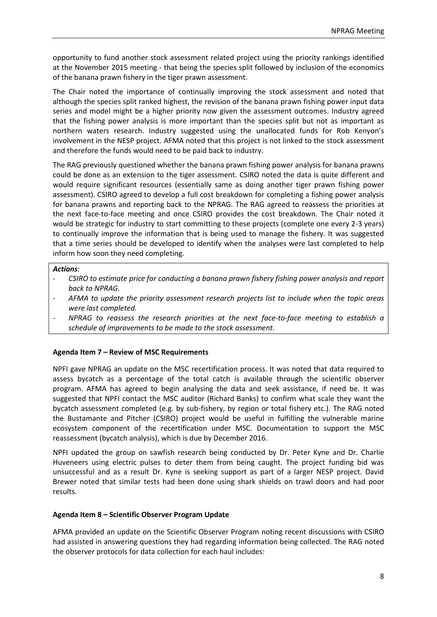opportunity to fund another stock assessment related project using the priority rankings identified at the November 2015 meeting - that being the species split followed by inclusion of the economics of the banana prawn fishery in the tiger prawn assessment.

The Chair noted the importance of continually improving the stock assessment and noted that although the species split ranked highest, the revision of the banana prawn fishing power input data series and model might be a higher priority now given the assessment outcomes. Industry agreed that the fishing power analysis is more important than the species split but not as important as northern waters research. Industry suggested using the unallocated funds for Rob Kenyon's involvement in the NESP project. AFMA noted that this project is not linked to the stock assessment and therefore the funds would need to be paid back to industry.

The RAG previously questioned whether the banana prawn fishing power analysis for banana prawns could be done as an extension to the tiger assessment. CSIRO noted the data is quite different and would require significant resources (essentially same as doing another tiger prawn fishing power assessment). CSIRO agreed to develop a full cost breakdown for completing a fishing power analysis for banana prawns and reporting back to the NPRAG. The RAG agreed to reassess the priorities at the next face-to-face meeting and once CSIRO provides the cost breakdown. The Chair noted it would be strategic for industry to start committing to these projects (complete one every 2-3 years) to continually improve the information that is being used to manage the fishery. It was suggested that a time series should be developed to identify when the analyses were last completed to help inform how soon they need completing.

#### *Actions:*

- *- CSIRO to estimate price for conducting a banana prawn fishery fishing power analysis and report back to NPRAG.*
- *- AFMA to update the priority assessment research projects list to include when the topic areas were last completed.*
- *- NPRAG to reassess the research priorities at the next face-to-face meeting to establish a schedule of improvements to be made to the stock assessment.*

# **Agenda Item 7 – Review of MSC Requirements**

NPFI gave NPRAG an update on the MSC recertification process. It was noted that data required to assess bycatch as a percentage of the total catch is available through the scientific observer program. AFMA has agreed to begin analysing the data and seek assistance, if need be. It was suggested that NPFI contact the MSC auditor (Richard Banks) to confirm what scale they want the bycatch assessment completed (e.g. by sub-fishery, by region or total fishery etc.). The RAG noted the Bustamante and Pitcher (CSIRO) project would be useful in fulfilling the vulnerable marine ecosystem component of the recertification under MSC. Documentation to support the MSC reassessment (bycatch analysis), which is due by December 2016.

NPFI updated the group on sawfish research being conducted by Dr. Peter Kyne and Dr. Charlie Huveneers using electric pulses to deter them from being caught. The project funding bid was unsuccessful and as a result Dr. Kyne is seeking support as part of a larger NESP project. David Brewer noted that similar tests had been done using shark shields on trawl doors and had poor results.

#### **Agenda Item 8 – Scientific Observer Program Update**

AFMA provided an update on the Scientific Observer Program noting recent discussions with CSIRO had assisted in answering questions they had regarding information being collected. The RAG noted the observer protocols for data collection for each haul includes: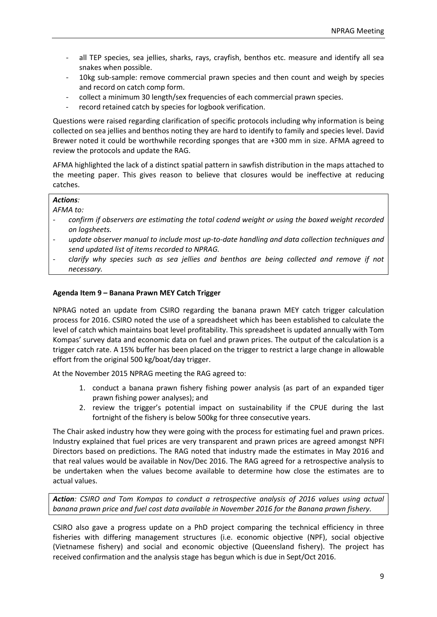- all TEP species, sea jellies, sharks, rays, crayfish, benthos etc. measure and identify all sea snakes when possible.
- 10kg sub-sample: remove commercial prawn species and then count and weigh by species and record on catch comp form.
- collect a minimum 30 length/sex frequencies of each commercial prawn species.
- record retained catch by species for logbook verification.

Questions were raised regarding clarification of specific protocols including why information is being collected on sea jellies and benthos noting they are hard to identify to family and species level. David Brewer noted it could be worthwhile recording sponges that are +300 mm in size. AFMA agreed to review the protocols and update the RAG.

AFMA highlighted the lack of a distinct spatial pattern in sawfish distribution in the maps attached to the meeting paper. This gives reason to believe that closures would be ineffective at reducing catches.

### *Actions:*

*AFMA to:*

- *- confirm if observers are estimating the total codend weight or using the boxed weight recorded on logsheets.*
- *update observer manual to include most up-to-date handling and data collection techniques and send updated list of items recorded to NPRAG.*
- c*larify why species such as sea jellies and benthos are being collected and remove if not necessary.*

### **Agenda Item 9 – Banana Prawn MEY Catch Trigger**

NPRAG noted an update from CSIRO regarding the banana prawn MEY catch trigger calculation process for 2016. CSIRO noted the use of a spreadsheet which has been established to calculate the level of catch which maintains boat level profitability. This spreadsheet is updated annually with Tom Kompas' survey data and economic data on fuel and prawn prices. The output of the calculation is a trigger catch rate. A 15% buffer has been placed on the trigger to restrict a large change in allowable effort from the original 500 kg/boat/day trigger.

At the November 2015 NPRAG meeting the RAG agreed to:

- 1. conduct a banana prawn fishery fishing power analysis (as part of an expanded tiger prawn fishing power analyses); and
- 2. review the trigger's potential impact on sustainability if the CPUE during the last fortnight of the fishery is below 500kg for three consecutive years.

The Chair asked industry how they were going with the process for estimating fuel and prawn prices. Industry explained that fuel prices are very transparent and prawn prices are agreed amongst NPFI Directors based on predictions. The RAG noted that industry made the estimates in May 2016 and that real values would be available in Nov/Dec 2016. The RAG agreed for a retrospective analysis to be undertaken when the values become available to determine how close the estimates are to actual values.

*Action: CSIRO and Tom Kompas to conduct a retrospective analysis of 2016 values using actual banana prawn price and fuel cost data available in November 2016 for the Banana prawn fishery.*

CSIRO also gave a progress update on a PhD project comparing the technical efficiency in three fisheries with differing management structures (i.e. economic objective (NPF), social objective (Vietnamese fishery) and social and economic objective (Queensland fishery). The project has received confirmation and the analysis stage has begun which is due in Sept/Oct 2016.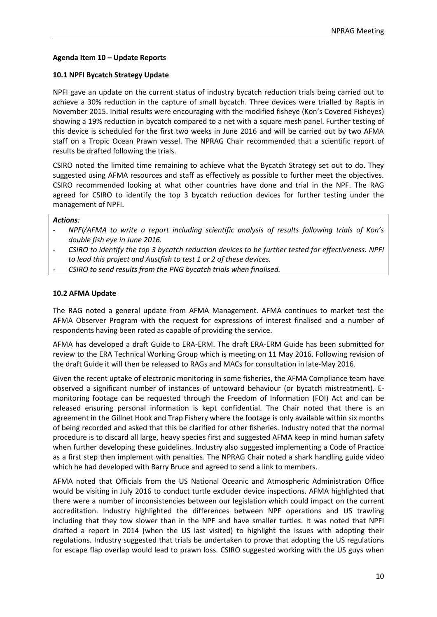# **Agenda Item 10 – Update Reports**

## **10.1 NPFI Bycatch Strategy Update**

NPFI gave an update on the current status of industry bycatch reduction trials being carried out to achieve a 30% reduction in the capture of small bycatch. Three devices were trialled by Raptis in November 2015. Initial results were encouraging with the modified fisheye (Kon's Covered Fisheyes) showing a 19% reduction in bycatch compared to a net with a square mesh panel. Further testing of this device is scheduled for the first two weeks in June 2016 and will be carried out by two AFMA staff on a Tropic Ocean Prawn vessel. The NPRAG Chair recommended that a scientific report of results be drafted following the trials.

CSIRO noted the limited time remaining to achieve what the Bycatch Strategy set out to do. They suggested using AFMA resources and staff as effectively as possible to further meet the objectives. CSIRO recommended looking at what other countries have done and trial in the NPF. The RAG agreed for CSIRO to identify the top 3 bycatch reduction devices for further testing under the management of NPFI.

#### *Actions:*

- *- NPFI/AFMA to write a report including scientific analysis of results following trials of Kon's double fish eye in June 2016.*
- *- CSIRO to identify the top 3 bycatch reduction devices to be further tested for effectiveness. NPFI to lead this project and Austfish to test 1 or 2 of these devices.*
- *- CSIRO to send results from the PNG bycatch trials when finalised.*

#### **10.2 AFMA Update**

The RAG noted a general update from AFMA Management. AFMA continues to market test the AFMA Observer Program with the request for expressions of interest finalised and a number of respondents having been rated as capable of providing the service.

AFMA has developed a draft Guide to ERA-ERM. The draft ERA-ERM Guide has been submitted for review to the ERA Technical Working Group which is meeting on 11 May 2016. Following revision of the draft Guide it will then be released to RAGs and MACs for consultation in late-May 2016.

Given the recent uptake of electronic monitoring in some fisheries, the AFMA Compliance team have observed a significant number of instances of untoward behaviour (or bycatch mistreatment). Emonitoring footage can be requested through the Freedom of Information (FOI) Act and can be released ensuring personal information is kept confidential. The Chair noted that there is an agreement in the Gillnet Hook and Trap Fishery where the footage is only available within six months of being recorded and asked that this be clarified for other fisheries. Industry noted that the normal procedure is to discard all large, heavy species first and suggested AFMA keep in mind human safety when further developing these guidelines. Industry also suggested implementing a Code of Practice as a first step then implement with penalties. The NPRAG Chair noted a shark handling guide video which he had developed with Barry Bruce and agreed to send a link to members.

AFMA noted that Officials from the US National Oceanic and Atmospheric Administration Office would be visiting in July 2016 to conduct turtle excluder device inspections. AFMA highlighted that there were a number of inconsistencies between our legislation which could impact on the current accreditation. Industry highlighted the differences between NPF operations and US trawling including that they tow slower than in the NPF and have smaller turtles. It was noted that NPFI drafted a report in 2014 (when the US last visited) to highlight the issues with adopting their regulations. Industry suggested that trials be undertaken to prove that adopting the US regulations for escape flap overlap would lead to prawn loss. CSIRO suggested working with the US guys when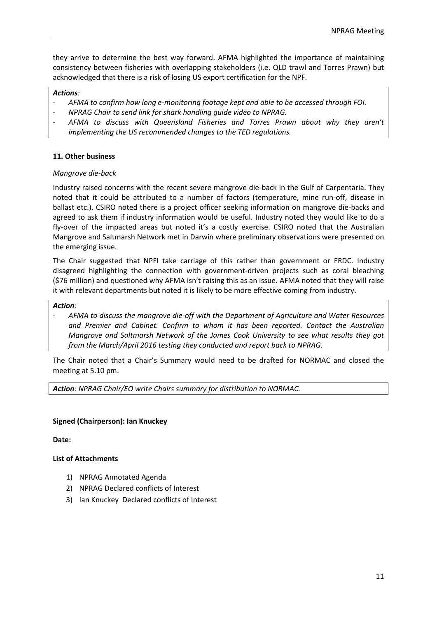they arrive to determine the best way forward. AFMA highlighted the importance of maintaining consistency between fisheries with overlapping stakeholders (i.e. QLD trawl and Torres Prawn) but acknowledged that there is a risk of losing US export certification for the NPF.

#### *Actions:*

- *- AFMA to confirm how long e-monitoring footage kept and able to be accessed through FOI.*
- *- NPRAG Chair to send link for shark handling guide video to NPRAG.*
- *- AFMA to discuss with Queensland Fisheries and Torres Prawn about why they aren't implementing the US recommended changes to the TED regulations.*

#### **11. Other business**

#### *Mangrove die-back*

Industry raised concerns with the recent severe mangrove die-back in the Gulf of Carpentaria. They noted that it could be attributed to a number of factors (temperature, mine run-off, disease in ballast etc.). CSIRO noted there is a project officer seeking information on mangrove die-backs and agreed to ask them if industry information would be useful. Industry noted they would like to do a fly-over of the impacted areas but noted it's a costly exercise. CSIRO noted that the Australian Mangrove and Saltmarsh Network met in Darwin where preliminary observations were presented on the emerging issue.

The Chair suggested that NPFI take carriage of this rather than government or FRDC. Industry disagreed highlighting the connection with government-driven projects such as coral bleaching (\$76 million) and questioned why AFMA isn't raising this as an issue. AFMA noted that they will raise it with relevant departments but noted it is likely to be more effective coming from industry.

#### *Action:*

*- AFMA to discuss the mangrove die-off with the Department of Agriculture and Water Resources and Premier and Cabinet. Confirm to whom it has been reported. Contact the Australian Mangrove and Saltmarsh Network of the James Cook University to see what results they got from the March/April 2016 testing they conducted and report back to NPRAG.*

The Chair noted that a Chair's Summary would need to be drafted for NORMAC and closed the meeting at 5.10 pm.

*Action: NPRAG Chair/EO write Chairs summary for distribution to NORMAC.*

#### **Signed (Chairperson): Ian Knuckey**

**Date:**

#### **List of Attachments**

- 1) NPRAG Annotated Agenda
- 2) NPRAG Declared conflicts of Interest
- 3) Ian Knuckey Declared conflicts of Interest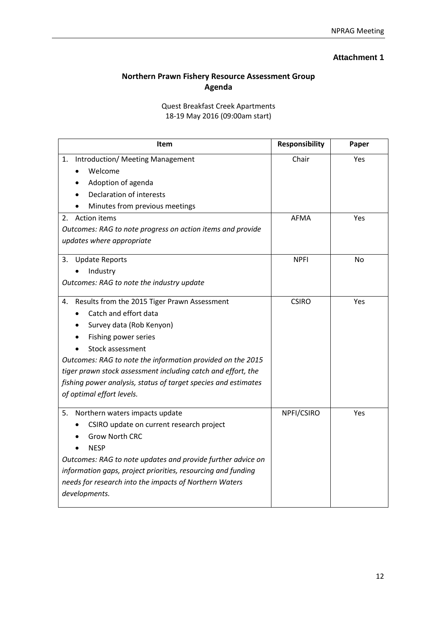# **Attachment 1**

# **Northern Prawn Fishery Resource Assessment Group Agenda**

Quest Breakfast Creek Apartments 18-19 May 2016 (09:00am start)

| Item                                                           | <b>Responsibility</b> | Paper |
|----------------------------------------------------------------|-----------------------|-------|
| Introduction/ Meeting Management<br>1.                         | Chair                 | Yes   |
| Welcome                                                        |                       |       |
| Adoption of agenda                                             |                       |       |
| Declaration of interests                                       |                       |       |
| Minutes from previous meetings                                 |                       |       |
| Action items<br>2.                                             | <b>AFMA</b>           | Yes   |
| Outcomes: RAG to note progress on action items and provide     |                       |       |
| updates where appropriate                                      |                       |       |
| <b>Update Reports</b><br>3.                                    | <b>NPFI</b>           | No    |
| Industry                                                       |                       |       |
| Outcomes: RAG to note the industry update                      |                       |       |
| Results from the 2015 Tiger Prawn Assessment<br>4.             | <b>CSIRO</b>          | Yes   |
| Catch and effort data                                          |                       |       |
| Survey data (Rob Kenyon)                                       |                       |       |
| Fishing power series                                           |                       |       |
| Stock assessment                                               |                       |       |
| Outcomes: RAG to note the information provided on the 2015     |                       |       |
| tiger prawn stock assessment including catch and effort, the   |                       |       |
| fishing power analysis, status of target species and estimates |                       |       |
| of optimal effort levels.                                      |                       |       |
| Northern waters impacts update<br>5.                           | NPFI/CSIRO            | Yes   |
| CSIRO update on current research project                       |                       |       |
| <b>Grow North CRC</b>                                          |                       |       |
| <b>NESP</b>                                                    |                       |       |
| Outcomes: RAG to note updates and provide further advice on    |                       |       |
| information gaps, project priorities, resourcing and funding   |                       |       |
| needs for research into the impacts of Northern Waters         |                       |       |
| developments.                                                  |                       |       |
|                                                                |                       |       |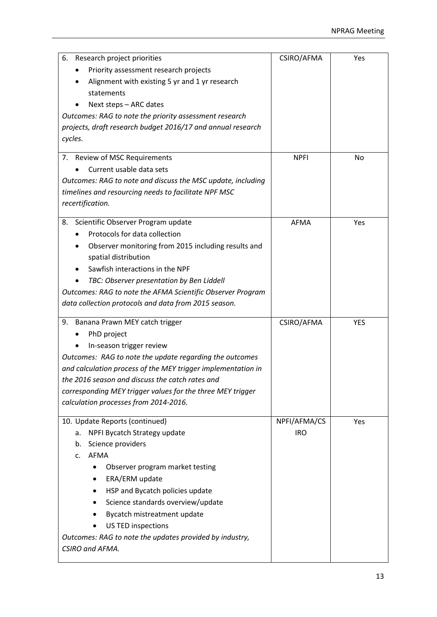| 6.<br>Research project priorities                                          | CSIRO/AFMA   | Yes        |
|----------------------------------------------------------------------------|--------------|------------|
| Priority assessment research projects                                      |              |            |
| Alignment with existing 5 yr and 1 yr research                             |              |            |
| statements                                                                 |              |            |
| Next steps - ARC dates                                                     |              |            |
| Outcomes: RAG to note the priority assessment research                     |              |            |
| projects, draft research budget 2016/17 and annual research                |              |            |
| cycles.                                                                    |              |            |
|                                                                            |              |            |
| 7. Review of MSC Requirements                                              | <b>NPFI</b>  | No         |
| Current usable data sets                                                   |              |            |
| Outcomes: RAG to note and discuss the MSC update, including                |              |            |
| timelines and resourcing needs to facilitate NPF MSC                       |              |            |
| recertification.                                                           |              |            |
| Scientific Observer Program update<br>8.                                   | <b>AFMA</b>  | Yes        |
| Protocols for data collection                                              |              |            |
| Observer monitoring from 2015 including results and                        |              |            |
| spatial distribution                                                       |              |            |
| Sawfish interactions in the NPF                                            |              |            |
| TBC: Observer presentation by Ben Liddell                                  |              |            |
| Outcomes: RAG to note the AFMA Scientific Observer Program                 |              |            |
| data collection protocols and data from 2015 season.                       |              |            |
|                                                                            |              |            |
| Banana Prawn MEY catch trigger<br>9.                                       | CSIRO/AFMA   | <b>YES</b> |
| PhD project                                                                |              |            |
| In-season trigger review                                                   |              |            |
| Outcomes: RAG to note the update regarding the outcomes                    |              |            |
| and calculation process of the MEY trigger implementation in               |              |            |
| the 2016 season and discuss the catch rates and                            |              |            |
| corresponding MEY trigger values for the three MEY trigger                 |              |            |
| calculation processes from 2014-2016.                                      |              |            |
| 10. Update Reports (continued)                                             | NPFI/AFMA/CS | Yes        |
| NPFI Bycatch Strategy update<br>а.                                         | <b>IRO</b>   |            |
| Science providers<br>b.                                                    |              |            |
| AFMA<br>c.                                                                 |              |            |
| Observer program market testing<br>$\bullet$                               |              |            |
| ERA/ERM update                                                             |              |            |
|                                                                            |              |            |
| HSP and Bycatch policies update                                            |              |            |
| Science standards overview/update                                          |              |            |
| Bycatch mistreatment update                                                |              |            |
| US TED inspections                                                         |              |            |
| Outcomes: RAG to note the updates provided by industry,<br>CSIRO and AFMA. |              |            |
|                                                                            |              |            |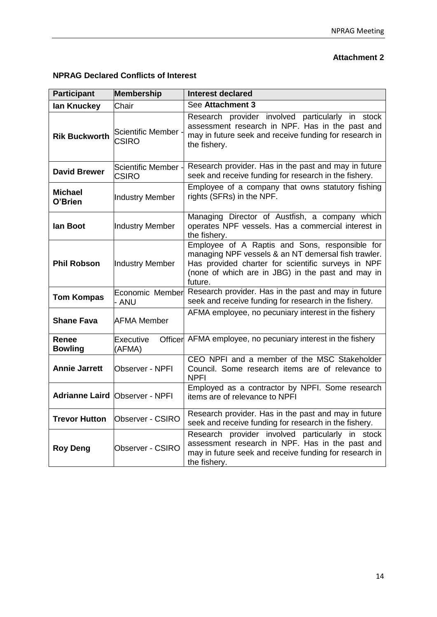# **Attachment 2**

# **NPRAG Declared Conflicts of Interest**

| Participant               | <b>Membership</b>                     | <b>Interest declared</b>                                                                                                                                                                                                    |
|---------------------------|---------------------------------------|-----------------------------------------------------------------------------------------------------------------------------------------------------------------------------------------------------------------------------|
| lan Knuckey               | Chair                                 | See Attachment 3                                                                                                                                                                                                            |
| <b>Rik Buckworth</b>      | Scientific Member ·<br><b>CSIRO</b>   | Research provider involved particularly in stock<br>assessment research in NPF. Has in the past and<br>may in future seek and receive funding for research in<br>the fishery.                                               |
| <b>David Brewer</b>       | Scientific Member -<br><b>CSIRO</b>   | Research provider. Has in the past and may in future<br>seek and receive funding for research in the fishery.                                                                                                               |
| <b>Michael</b><br>O'Brien | <b>Industry Member</b>                | Employee of a company that owns statutory fishing<br>rights (SFRs) in the NPF.                                                                                                                                              |
| lan Boot                  | <b>Industry Member</b>                | Managing Director of Austfish, a company which<br>operates NPF vessels. Has a commercial interest in<br>the fishery.                                                                                                        |
| <b>Phil Robson</b>        | Industry Member                       | Employee of A Raptis and Sons, responsible for<br>managing NPF vessels & an NT demersal fish trawler.<br>Has provided charter for scientific surveys in NPF<br>(none of which are in JBG) in the past and may in<br>future. |
| <b>Tom Kompas</b>         | Economic Member<br>- ANU              | Research provider. Has in the past and may in future<br>seek and receive funding for research in the fishery.                                                                                                               |
| <b>Shane Fava</b>         | <b>AFMA Member</b>                    | AFMA employee, no pecuniary interest in the fishery                                                                                                                                                                         |
| Renee<br><b>Bowling</b>   | Executive<br>(AFMA)                   | Officer AFMA employee, no pecuniary interest in the fishery                                                                                                                                                                 |
| <b>Annie Jarrett</b>      | Observer - NPFI                       | CEO NPFI and a member of the MSC Stakeholder<br>Council. Some research items are of relevance to<br><b>NPFI</b>                                                                                                             |
|                           | <b>Adrianne Laird Observer - NPFI</b> | Employed as a contractor by NPFI. Some research<br>items are of relevance to NPFI                                                                                                                                           |
| <b>Trevor Hutton</b>      | Observer - CSIRO                      | Research provider. Has in the past and may in future<br>seek and receive funding for research in the fishery.                                                                                                               |
| <b>Roy Deng</b>           | Observer - CSIRO                      | Research provider involved particularly<br>in<br>stock<br>assessment research in NPF. Has in the past and<br>may in future seek and receive funding for research in<br>the fishery.                                         |